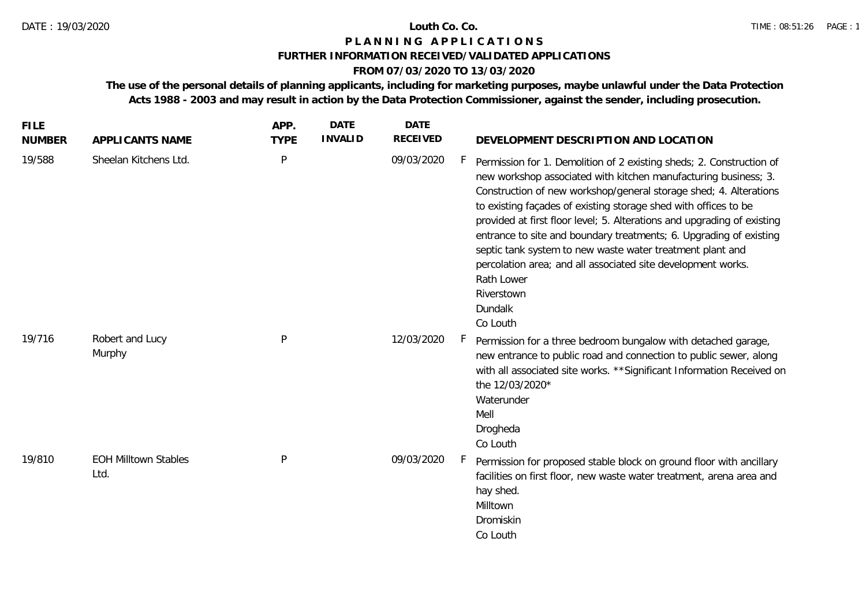### **FURTHER INFORMATION RECEIVED/VALIDATED APPLICATIONS**

# **FROM 07/03/2020 TO 13/03/2020**

| <b>FILE</b><br><b>NUMBER</b> | APPLICANTS NAME                     | APP.<br><b>TYPE</b> | <b>DATE</b><br><b>INVALID</b> | <b>DATE</b><br><b>RECEIVED</b> | DEVELOPMENT DESCRIPTION AND LOCATION                                                                                                                                                                                                                                                                                                                                                                                                                                                                                                                                                                                   |
|------------------------------|-------------------------------------|---------------------|-------------------------------|--------------------------------|------------------------------------------------------------------------------------------------------------------------------------------------------------------------------------------------------------------------------------------------------------------------------------------------------------------------------------------------------------------------------------------------------------------------------------------------------------------------------------------------------------------------------------------------------------------------------------------------------------------------|
| 19/588                       | Sheelan Kitchens Ltd.               | P                   |                               | 09/03/2020                     | h.<br>Permission for 1. Demolition of 2 existing sheds; 2. Construction of<br>new workshop associated with kitchen manufacturing business; 3.<br>Construction of new workshop/general storage shed; 4. Alterations<br>to existing façades of existing storage shed with offices to be<br>provided at first floor level; 5. Alterations and upgrading of existing<br>entrance to site and boundary treatments; 6. Upgrading of existing<br>septic tank system to new waste water treatment plant and<br>percolation area; and all associated site development works.<br>Rath Lower<br>Riverstown<br>Dundalk<br>Co Louth |
| 19/716                       | Robert and Lucy<br>Murphy           | $\sf P$             |                               | 12/03/2020                     | Permission for a three bedroom bungalow with detached garage,<br>F.<br>new entrance to public road and connection to public sewer, along<br>with all associated site works. ** Significant Information Received on<br>the 12/03/2020*<br>Waterunder<br>Mell<br>Drogheda<br>Co Louth                                                                                                                                                                                                                                                                                                                                    |
| 19/810                       | <b>EOH Milltown Stables</b><br>Ltd. | P                   |                               | 09/03/2020                     | Permission for proposed stable block on ground floor with ancillary<br>facilities on first floor, new waste water treatment, arena area and<br>hay shed.<br>Milltown<br>Dromiskin<br>Co Louth                                                                                                                                                                                                                                                                                                                                                                                                                          |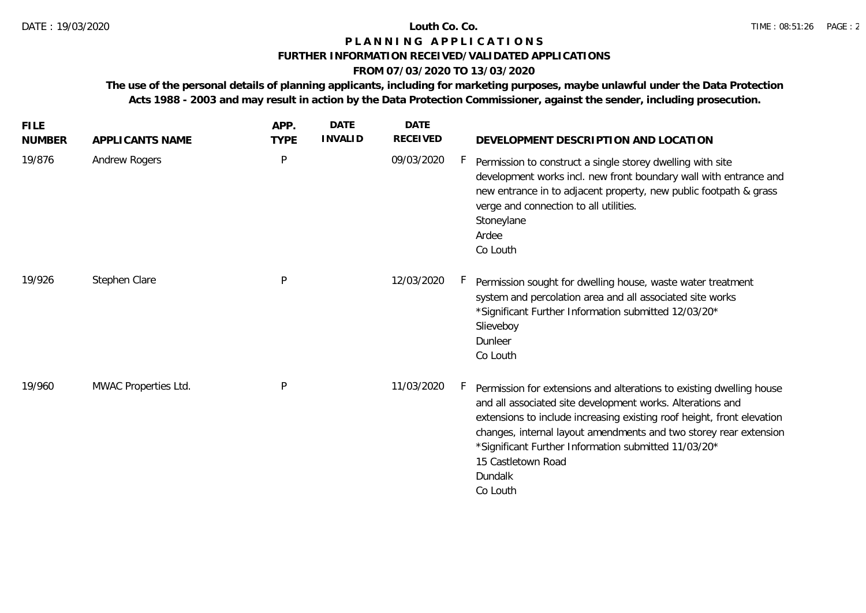### **FURTHER INFORMATION RECEIVED/VALIDATED APPLICATIONS**

# **FROM 07/03/2020 TO 13/03/2020**

| <b>FILE</b>   |                      | APP.        | <b>DATE</b>    | <b>DATE</b> |                                                                                                                                                                                                                                                                                                                                                                                        |
|---------------|----------------------|-------------|----------------|-------------|----------------------------------------------------------------------------------------------------------------------------------------------------------------------------------------------------------------------------------------------------------------------------------------------------------------------------------------------------------------------------------------|
| <b>NUMBER</b> | APPLICANTS NAME      | <b>TYPE</b> | <b>INVALID</b> | RECEIVED    | DEVELOPMENT DESCRIPTION AND LOCATION                                                                                                                                                                                                                                                                                                                                                   |
| 19/876        | Andrew Rogers        | P           |                | 09/03/2020  | Permission to construct a single storey dwelling with site<br>development works incl. new front boundary wall with entrance and<br>new entrance in to adjacent property, new public footpath & grass<br>verge and connection to all utilities.<br>Stoneylane<br>Ardee<br>Co Louth                                                                                                      |
| 19/926        | Stephen Clare        | P           |                | 12/03/2020  | Permission sought for dwelling house, waste water treatment<br>system and percolation area and all associated site works<br>*Significant Further Information submitted 12/03/20*<br>Slieveboy<br>Dunleer<br>Co Louth                                                                                                                                                                   |
| 19/960        | MWAC Properties Ltd. | P           |                | 11/03/2020  | Permission for extensions and alterations to existing dwelling house<br>and all associated site development works. Alterations and<br>extensions to include increasing existing roof height, front elevation<br>changes, internal layout amendments and two storey rear extension<br>*Significant Further Information submitted 11/03/20*<br>15 Castletown Road<br>Dundalk<br>Co Louth |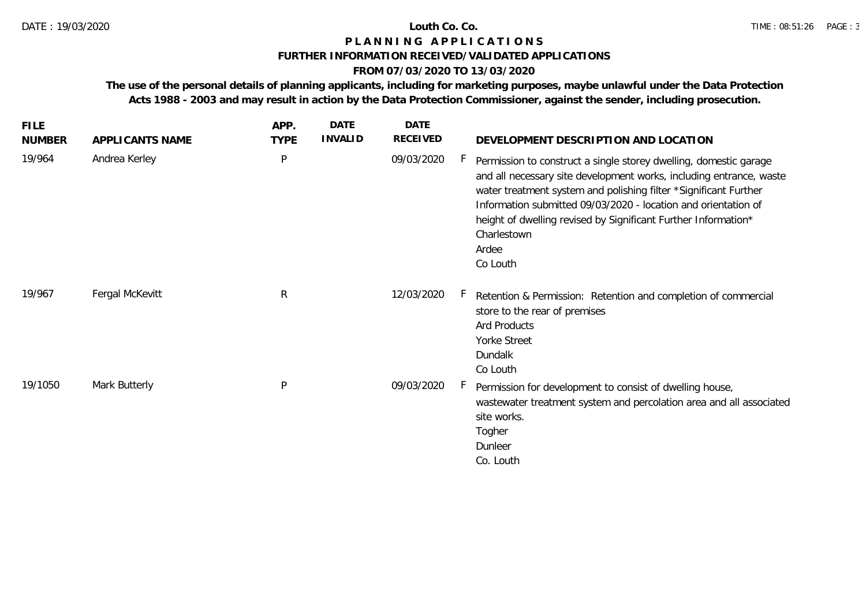#### **FURTHER INFORMATION RECEIVED/VALIDATED APPLICATIONS**

## **FROM 07/03/2020 TO 13/03/2020**

| <b>FILE</b><br><b>NUMBER</b> | APPLICANTS NAME | APP.<br><b>TYPE</b> | <b>DATE</b><br><b>INVALID</b> | <b>DATE</b><br>RECEIVED | DEVELOPMENT DESCRIPTION AND LOCATION                                                                                                                                                                                                                                                                                                                                                 |
|------------------------------|-----------------|---------------------|-------------------------------|-------------------------|--------------------------------------------------------------------------------------------------------------------------------------------------------------------------------------------------------------------------------------------------------------------------------------------------------------------------------------------------------------------------------------|
| 19/964                       | Andrea Kerley   | P                   |                               | 09/03/2020              | Permission to construct a single storey dwelling, domestic garage<br>and all necessary site development works, including entrance, waste<br>water treatment system and polishing filter *Significant Further<br>Information submitted 09/03/2020 - location and orientation of<br>height of dwelling revised by Significant Further Information*<br>Charlestown<br>Ardee<br>Co Louth |
| 19/967                       | Fergal McKevitt | $\mathsf{R}$        |                               | 12/03/2020              | Retention & Permission: Retention and completion of commercial<br>store to the rear of premises<br>Ard Products<br>Yorke Street<br>Dundalk<br>Co Louth                                                                                                                                                                                                                               |
| 19/1050                      | Mark Butterly   | P                   |                               | 09/03/2020              | Permission for development to consist of dwelling house,<br>wastewater treatment system and percolation area and all associated<br>site works.<br>Togher<br>Dunleer<br>Co. Louth                                                                                                                                                                                                     |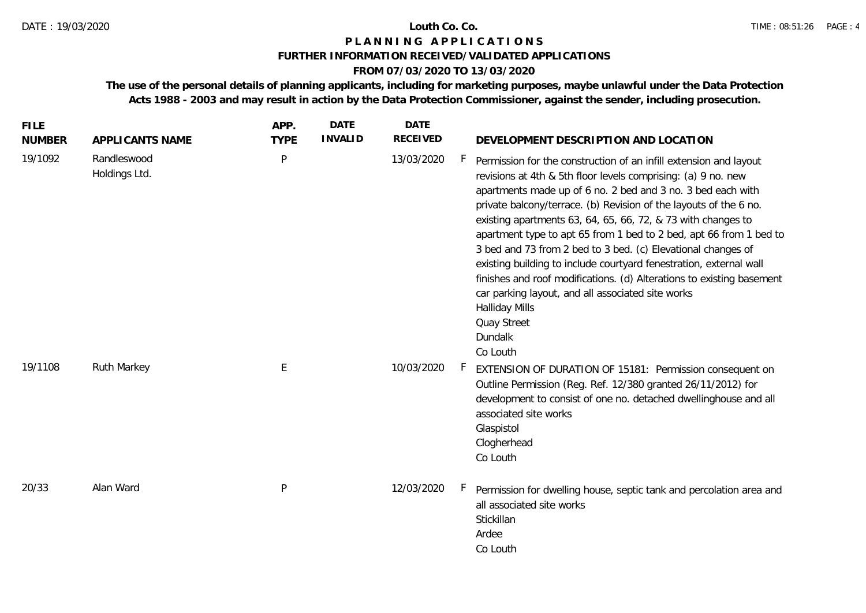### **FURTHER INFORMATION RECEIVED/VALIDATED APPLICATIONS**

# **FROM 07/03/2020 TO 13/03/2020**

| <b>FILE</b><br><b>NUMBER</b> | APPLICANTS NAME              | APP.<br><b>TYPE</b> | <b>DATE</b><br><b>INVALID</b> | <b>DATE</b><br><b>RECEIVED</b> |    | DEVELOPMENT DESCRIPTION AND LOCATION                                                                                                                                                                                                                                                                                                                                                                                                                                                                                                                                                                                                                                                                                                            |  |
|------------------------------|------------------------------|---------------------|-------------------------------|--------------------------------|----|-------------------------------------------------------------------------------------------------------------------------------------------------------------------------------------------------------------------------------------------------------------------------------------------------------------------------------------------------------------------------------------------------------------------------------------------------------------------------------------------------------------------------------------------------------------------------------------------------------------------------------------------------------------------------------------------------------------------------------------------------|--|
| 19/1092                      | Randleswood<br>Holdings Ltd. | P                   |                               | 13/03/2020                     | F. | Permission for the construction of an infill extension and layout<br>revisions at 4th & 5th floor levels comprising: (a) 9 no. new<br>apartments made up of 6 no. 2 bed and 3 no. 3 bed each with<br>private balcony/terrace. (b) Revision of the layouts of the 6 no.<br>existing apartments 63, 64, 65, 66, 72, & 73 with changes to<br>apartment type to apt 65 from 1 bed to 2 bed, apt 66 from 1 bed to<br>3 bed and 73 from 2 bed to 3 bed. (c) Elevational changes of<br>existing building to include courtyard fenestration, external wall<br>finishes and roof modifications. (d) Alterations to existing basement<br>car parking layout, and all associated site works<br><b>Halliday Mills</b><br>Quay Street<br>Dundalk<br>Co Louth |  |
| 19/1108                      | Ruth Markey                  | E                   |                               | 10/03/2020                     | F. | EXTENSION OF DURATION OF 15181: Permission consequent on<br>Outline Permission (Reg. Ref. 12/380 granted 26/11/2012) for<br>development to consist of one no. detached dwellinghouse and all<br>associated site works<br>Glaspistol<br>Clogherhead<br>Co Louth                                                                                                                                                                                                                                                                                                                                                                                                                                                                                  |  |
| 20/33                        | Alan Ward                    | P                   |                               | 12/03/2020                     | F. | Permission for dwelling house, septic tank and percolation area and<br>all associated site works<br>Stickillan<br>Ardee<br>Co Louth                                                                                                                                                                                                                                                                                                                                                                                                                                                                                                                                                                                                             |  |